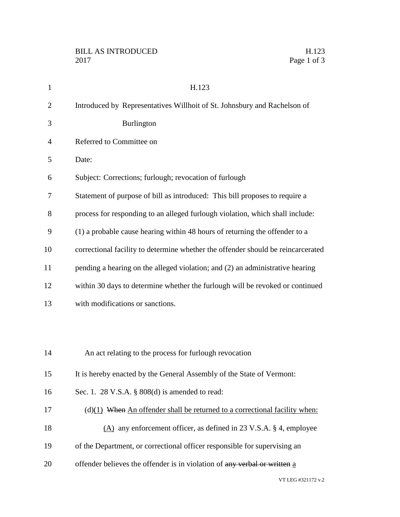| $\mathbf{1}$   | H.123                                                                            |
|----------------|----------------------------------------------------------------------------------|
| $\overline{2}$ | Introduced by Representatives Willhoit of St. Johnsbury and Rachelson of         |
| 3              | Burlington                                                                       |
| 4              | Referred to Committee on                                                         |
| 5              | Date:                                                                            |
| 6              | Subject: Corrections; furlough; revocation of furlough                           |
| 7              | Statement of purpose of bill as introduced: This bill proposes to require a      |
| 8              | process for responding to an alleged furlough violation, which shall include:    |
| 9              | (1) a probable cause hearing within 48 hours of returning the offender to a      |
| 10             | correctional facility to determine whether the offender should be reincarcerated |
| 11             | pending a hearing on the alleged violation; and (2) an administrative hearing    |
| 12             | within 30 days to determine whether the furlough will be revoked or continued    |
| 13             | with modifications or sanctions.                                                 |
|                |                                                                                  |
|                |                                                                                  |
| 14             | An act relating to the process for furlough revocation                           |
| 15             | It is hereby enacted by the General Assembly of the State of Vermont:            |
| 16             | Sec. 1. 28 V.S.A. § 808(d) is amended to read:                                   |
| 17             | $(d)(1)$ When An offender shall be returned to a correctional facility when:     |
| 18             | $(A)$ any enforcement officer, as defined in 23 V.S.A. § 4, employee             |
| 19             | of the Department, or correctional officer responsible for supervising an        |
| 20             | offender believes the offender is in violation of any verbal or written a        |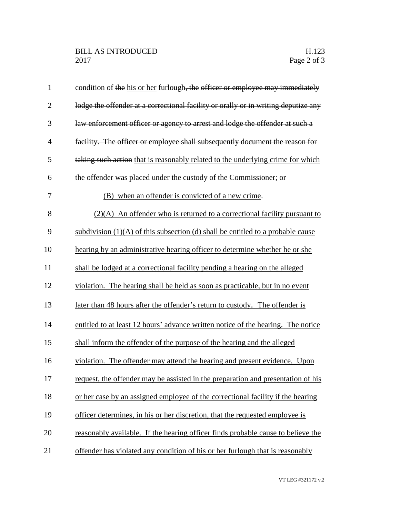| $\mathbf{1}$   | condition of the his or her furlough, the officer or employee may immediately      |
|----------------|------------------------------------------------------------------------------------|
| $\overline{2}$ | lodge the offender at a correctional facility or orally or in writing deputize any |
| 3              | law enforcement officer or agency to arrest and lodge the offender at such a       |
| 4              | facility. The officer or employee shall subsequently document the reason for       |
| 5              | taking such action that is reasonably related to the underlying crime for which    |
| 6              | the offender was placed under the custody of the Commissioner; or                  |
| 7              | (B) when an offender is convicted of a new crime.                                  |
| 8              | $(2)(A)$ An offender who is returned to a correctional facility pursuant to        |
| 9              | subdivision $(1)(A)$ of this subsection (d) shall be entitled to a probable cause  |
| 10             | hearing by an administrative hearing officer to determine whether he or she        |
| 11             | shall be lodged at a correctional facility pending a hearing on the alleged        |
| 12             | violation. The hearing shall be held as soon as practicable, but in no event       |
| 13             | later than 48 hours after the offender's return to custody. The offender is        |
| 14             | entitled to at least 12 hours' advance written notice of the hearing. The notice   |
| 15             | shall inform the offender of the purpose of the hearing and the alleged            |
| 16             | violation. The offender may attend the hearing and present evidence. Upon          |
| 17             | request, the offender may be assisted in the preparation and presentation of his   |
| 18             | or her case by an assigned employee of the correctional facility if the hearing    |
| 19             | officer determines, in his or her discretion, that the requested employee is       |
| 20             | reasonably available. If the hearing officer finds probable cause to believe the   |
| 21             | offender has violated any condition of his or her furlough that is reasonably      |